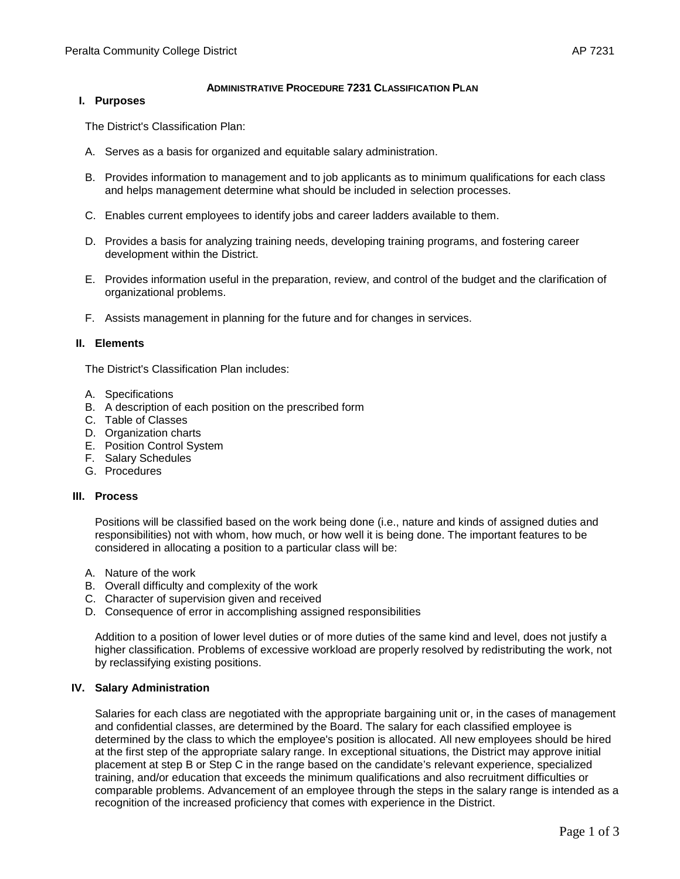### **ADMINISTRATIVE PROCEDURE 7231 CLASSIFICATION PLAN**

#### **I. Purposes**

The District's Classification Plan:

- A. Serves as a basis for organized and equitable salary administration.
- B. Provides information to management and to job applicants as to minimum qualifications for each class and helps management determine what should be included in selection processes.
- C. Enables current employees to identify jobs and career ladders available to them.
- D. Provides a basis for analyzing training needs, developing training programs, and fostering career development within the District.
- E. Provides information useful in the preparation, review, and control of the budget and the clarification of organizational problems.
- F. Assists management in planning for the future and for changes in services.

### **II. Elements**

The District's Classification Plan includes:

- A. Specifications
- B. A description of each position on the prescribed form
- C. Table of Classes
- D. Organization charts
- E. Position Control System
- F. Salary Schedules
- G. Procedures

#### **III. Process**

Positions will be classified based on the work being done (i.e., nature and kinds of assigned duties and responsibilities) not with whom, how much, or how well it is being done. The important features to be considered in allocating a position to a particular class will be:

- A. Nature of the work
- B. Overall difficulty and complexity of the work
- C. Character of supervision given and received
- D. Consequence of error in accomplishing assigned responsibilities

Addition to a position of lower level duties or of more duties of the same kind and level, does not justify a higher classification. Problems of excessive workload are properly resolved by redistributing the work, not by reclassifying existing positions.

#### **IV. Salary Administration**

Salaries for each class are negotiated with the appropriate bargaining unit or, in the cases of management and confidential classes, are determined by the Board. The salary for each classified employee is determined by the class to which the employee's position is allocated. All new employees should be hired at the first step of the appropriate salary range. In exceptional situations, the District may approve initial placement at step B or Step C in the range based on the candidate's relevant experience, specialized training, and/or education that exceeds the minimum qualifications and also recruitment difficulties or comparable problems. Advancement of an employee through the steps in the salary range is intended as a recognition of the increased proficiency that comes with experience in the District.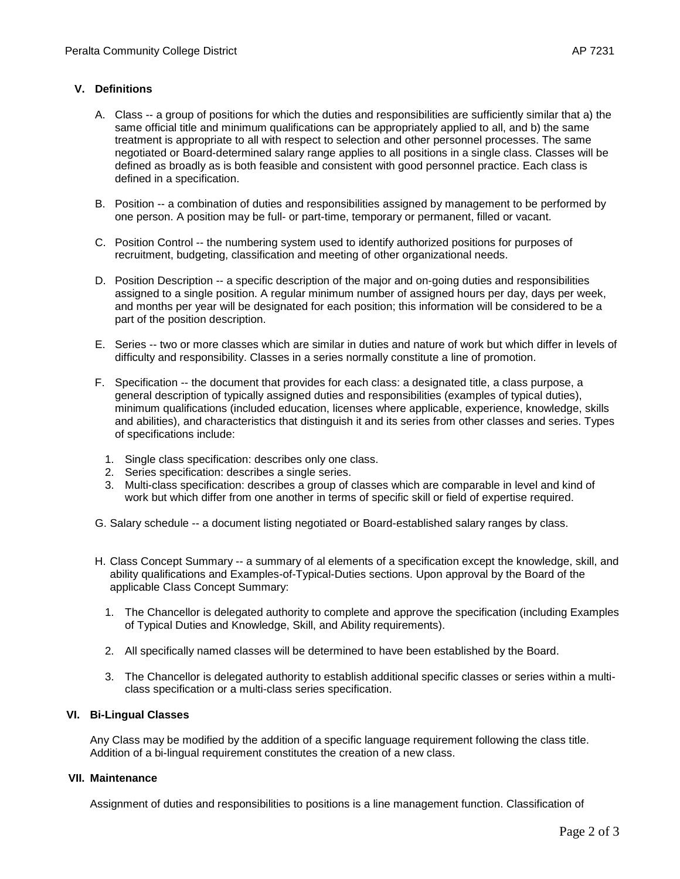# **V. Definitions**

- A. Class -- a group of positions for which the duties and responsibilities are sufficiently similar that a) the same official title and minimum qualifications can be appropriately applied to all, and b) the same treatment is appropriate to all with respect to selection and other personnel processes. The same negotiated or Board-determined salary range applies to all positions in a single class. Classes will be defined as broadly as is both feasible and consistent with good personnel practice. Each class is defined in a specification.
- B. Position -- a combination of duties and responsibilities assigned by management to be performed by one person. A position may be full- or part-time, temporary or permanent, filled or vacant.
- C. Position Control -- the numbering system used to identify authorized positions for purposes of recruitment, budgeting, classification and meeting of other organizational needs.
- D. Position Description -- a specific description of the major and on-going duties and responsibilities assigned to a single position. A regular minimum number of assigned hours per day, days per week, and months per year will be designated for each position; this information will be considered to be a part of the position description.
- E. Series -- two or more classes which are similar in duties and nature of work but which differ in levels of difficulty and responsibility. Classes in a series normally constitute a line of promotion.
- F. Specification -- the document that provides for each class: a designated title, a class purpose, a general description of typically assigned duties and responsibilities (examples of typical duties), minimum qualifications (included education, licenses where applicable, experience, knowledge, skills and abilities), and characteristics that distinguish it and its series from other classes and series. Types of specifications include:
	- 1. Single class specification: describes only one class.
	- 2. Series specification: describes a single series.
	- 3. Multi-class specification: describes a group of classes which are comparable in level and kind of work but which differ from one another in terms of specific skill or field of expertise required.
- G. Salary schedule -- a document listing negotiated or Board-established salary ranges by class.
- H. Class Concept Summary -- a summary of al elements of a specification except the knowledge, skill, and ability qualifications and Examples-of-Typical-Duties sections. Upon approval by the Board of the applicable Class Concept Summary:
	- 1. The Chancellor is delegated authority to complete and approve the specification (including Examples of Typical Duties and Knowledge, Skill, and Ability requirements).
	- 2. All specifically named classes will be determined to have been established by the Board.
	- 3. The Chancellor is delegated authority to establish additional specific classes or series within a multiclass specification or a multi-class series specification.

## **VI. Bi-Lingual Classes**

Any Class may be modified by the addition of a specific language requirement following the class title. Addition of a bi-lingual requirement constitutes the creation of a new class.

## **VII. Maintenance**

Assignment of duties and responsibilities to positions is a line management function. Classification of